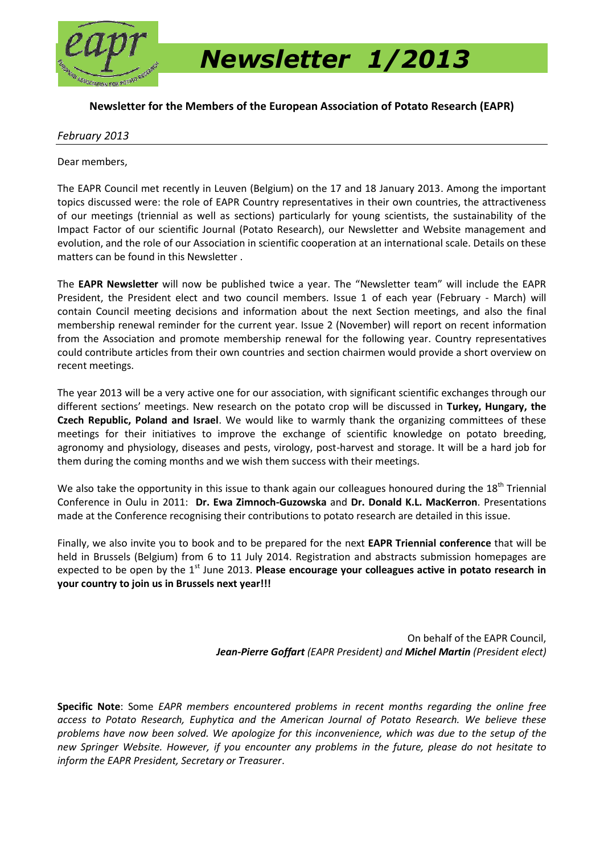

 *Newsletter 1/2013*

### **Newsletter for the Members of the European Association of Potato Research (EAPR)**

### *February 2013*

Dear members,

The EAPR Council met recently in Leuven (Belgium) on the 17 and 18 January 2013. Among the important topics discussed were: the role of EAPR Country representatives in their own countries, the attractiveness of our meetings (triennial as well as sections) particularly for young scientists, the sustainability of the Impact Factor of our scientific Journal (Potato Research), our Newsletter and Website management and evolution, and the role of our Association in scientific cooperation at an international scale. Details on these matters can be found in this Newsletter .

The **EAPR Newsletter** will now be published twice a year. The "Newsletter team" will include the EAPR President, the President elect and two council members. Issue 1 of each year (February - March) will contain Council meeting decisions and information about the next Section meetings, and also the final membership renewal reminder for the current year. Issue 2 (November) will report on recent information from the Association and promote membership renewal for the following year. Country representatives could contribute articles from their own countries and section chairmen would provide a short overview on recent meetings.

The year 2013 will be a very active one for our association, with significant scientific exchanges through our different sections' meetings. New research on the potato crop will be discussed in **Turkey, Hungary, the Czech Republic, Poland and Israel**. We would like to warmly thank the organizing committees of these meetings for their initiatives to improve the exchange of scientific knowledge on potato breeding, agronomy and physiology, diseases and pests, virology, post-harvest and storage. It will be a hard job for them during the coming months and we wish them success with their meetings.

We also take the opportunity in this issue to thank again our colleagues honoured during the 18<sup>th</sup> Triennial Conference in Oulu in 2011: **Dr. Ewa Zimnoch-Guzowska** and **Dr. Donald K.L. MacKerron**. Presentations made at the Conference recognising their contributions to potato research are detailed in this issue.

Finally, we also invite you to book and to be prepared for the next **EAPR Triennial conference** that will be held in Brussels (Belgium) from 6 to 11 July 2014. Registration and abstracts submission homepages are expected to be open by the 1<sup>st</sup> June 2013. Please encourage your colleagues active in potato research in **your country to join us in Brussels next year!!!**

> On behalf of the EAPR Council, *Jean-Pierre Goffart (EAPR President) and Michel Martin (President elect)*

**Specific Note**: Some *EAPR members encountered problems in recent months regarding the online free access to Potato Research, Euphytica and the American Journal of Potato Research. We believe these problems have now been solved. We apologize for this inconvenience, which was due to the setup of the new Springer Website. However, if you encounter any problems in the future, please do not hesitate to inform the EAPR President, Secretary or Treasurer*.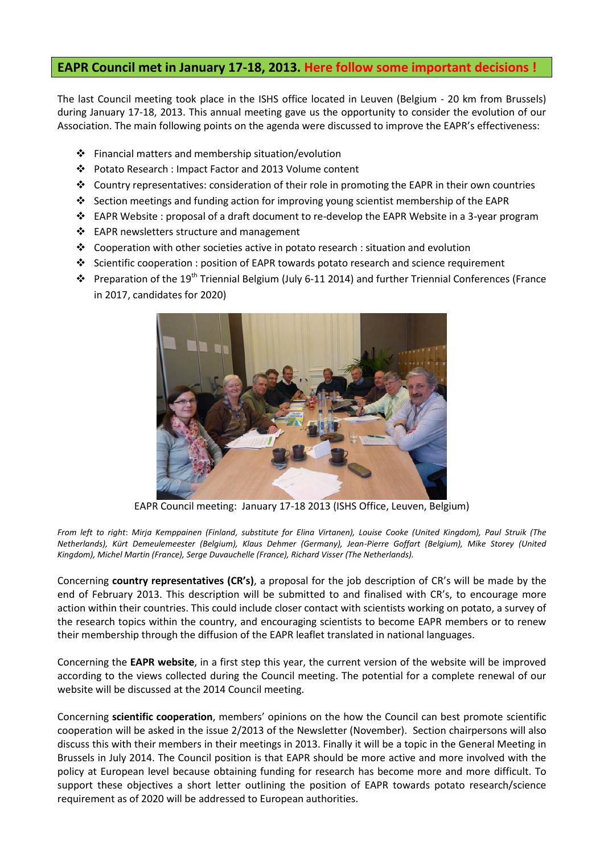## **EAPR Council met in January 17-18, 2013. Here follow some important decisions !**

The last Council meeting took place in the ISHS office located in Leuven (Belgium - 20 km from Brussels) during January 17-18, 2013. This annual meeting gave us the opportunity to consider the evolution of our Association. The main following points on the agenda were discussed to improve the EAPR's effectiveness:

- $\cdot$  Financial matters and membership situation/evolution
- Potato Research : Impact Factor and 2013 Volume content
- Country representatives: consideration of their role in promoting the EAPR in their own countries
- Section meetings and funding action for improving young scientist membership of the EAPR
- EAPR Website : proposal of a draft document to re-develop the EAPR Website in a 3-year program
- ❖ EAPR newsletters structure and management
- $\div$  Cooperation with other societies active in potato research : situation and evolution
- Scientific cooperation : position of EAPR towards potato research and science requirement
- Preparation of the 19th Triennial Belgium (July 6-11 2014) and further Triennial Conferences (France in 2017, candidates for 2020)



EAPR Council meeting: January 17-18 2013 (ISHS Office, Leuven, Belgium)

*From left to right*: *Mirja Kemppainen (Finland, substitute for Elina Virtanen), Louise Cooke (United Kingdom), Paul Struik (The Netherlands), Kürt Demeulemeester (Belgium), Klaus Dehmer (Germany), Jean-Pierre Goffart (Belgium), Mike Storey (United Kingdom), Michel Martin (France), Serge Duvauchelle (France), Richard Visser (The Netherlands).*

Concerning **country representatives (CR's)**, a proposal for the job description of CR's will be made by the end of February 2013. This description will be submitted to and finalised with CR's, to encourage more action within their countries. This could include closer contact with scientists working on potato, a survey of the research topics within the country, and encouraging scientists to become EAPR members or to renew their membership through the diffusion of the EAPR leaflet translated in national languages.

Concerning the **EAPR website**, in a first step this year, the current version of the website will be improved according to the views collected during the Council meeting. The potential for a complete renewal of our website will be discussed at the 2014 Council meeting.

Concerning **scientific cooperation**, members' opinions on the how the Council can best promote scientific cooperation will be asked in the issue 2/2013 of the Newsletter (November). Section chairpersons will also discuss this with their members in their meetings in 2013. Finally it will be a topic in the General Meeting in Brussels in July 2014. The Council position is that EAPR should be more active and more involved with the policy at European level because obtaining funding for research has become more and more difficult. To support these objectives a short letter outlining the position of EAPR towards potato research/science requirement as of 2020 will be addressed to European authorities.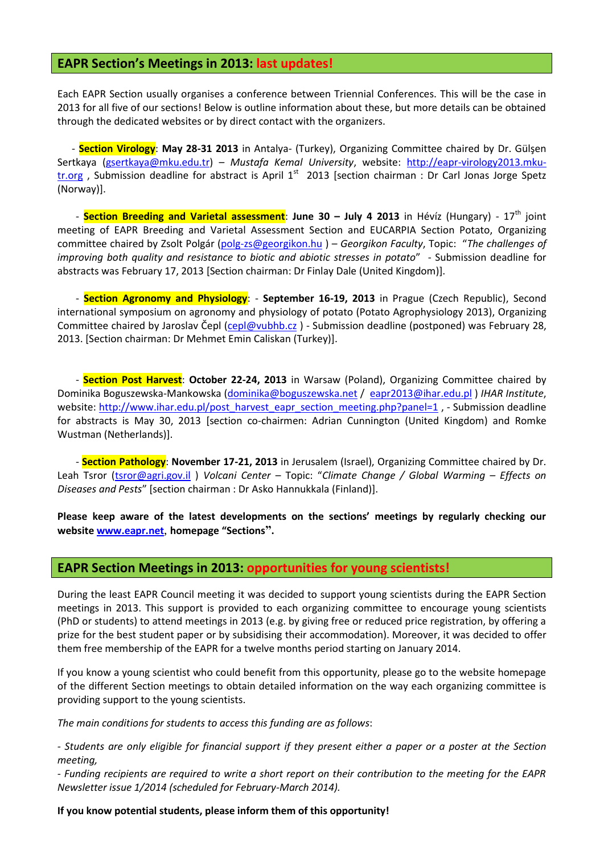### **EAPR Section's Meetings in 2013: last updates!**

Each EAPR Section usually organises a conference between Triennial Conferences. This will be the case in 2013 for all five of our sections! Below is outline information about these, but more details can be obtained through the dedicated websites or by direct contact with the organizers.

- **Section Virology**: **May 28-31 2013** in Antalya- (Turkey), Organizing Committee chaired by Dr. Gülşen Sertkaya [\(gsertkaya@mku.edu.tr\)](mailto:gsertkaya@mku.edu.tr) – *Mustafa Kemal University*, website: [http://eapr-virology2013.mku](http://eapr-virology2013.mku-tr.org/)tr.org, Submission deadline for abstract is April  $1<sup>st</sup>$  2013 [section chairman : Dr Carl Jonas Jorge Spetz (Norway)].

- **Section Breeding and Varietal assessment**: **June 30 – July 4 2013** in Hévíz (Hungary) - 17th joint meeting of EAPR Breeding and Varietal Assessment Section and EUCARPIA Section Potato, Organizing committee chaired by Zsolt Polgár [\(polg-zs@georgikon.hu](mailto:polg-zs@georgikon.hu) ) – *Georgikon Faculty*, Topic: "*The challenges of improving both quality and resistance to biotic and abiotic stresses in potato*" - Submission deadline for abstracts was February 17, 2013 [Section chairman: Dr Finlay Dale (United Kingdom)].

- **Section Agronomy and Physiology**: - **September 16-19, 2013** in Prague (Czech Republic), Second international symposium on agronomy and physiology of potato (Potato Agrophysiology 2013), Organizing Committee chaired by Jaroslav Čepl (cepl@vubhb.cz[\) - Submissio](mailto:cepl@vubhb.cz)n deadline (postponed) was February 28, [2013. \[Section chairman:](http://www.potato-agrophysiology2013.eu/) Dr Mehmet Emin Caliskan (Turkey)].

- **Section Post Harvest**: **October 22-24, 2013** in Warsaw (Poland), Organizing Committee chaired by Dominika Boguszewska-Mankowska [\(dominika@boguszewska.net](mailto:dominika@boguszewska.net) / [eapr2013@ihar.edu.pl](mailto:eapr2013@ihar.edu.pl) ) *IHAR Institute*, website: [http://www.ihar.edu.pl/post\\_harvest\\_eapr\\_section\\_meeting.php?panel=1](http://www.ihar.edu.pl/post_harvest_eapr_section_meeting.php?panel=1) , - Submission deadline for abstracts is May 30, 2013 [section co-chairmen: Adrian Cunnington (United Kingdom) and Romke Wustman (Netherlands)].

- **Section Pathology**: **November 17-21, 2013** in Jerusalem (Israel), Organizing Committee chaired by Dr. Leah Tsror [\(tsror@agri.gov.il](mailto:tsror@agri.gov.il) ) *Volcani Center* – Topic: "*Climate Change / Global Warming – Effects on Diseases and Pests*" [section chairman : Dr Asko Hannukkala (Finland)].

**Please keep aware of the latest developments on the sections' meetings by regularly checking our website [www.eapr.net](http://www.eapr.net/)**, **homepage "Sections".** 

### **EAPR Section Meetings in 2013: opportunities for young scientists!**

During the least EAPR Council meeting it was decided to support young scientists during the EAPR Section meetings in 2013. This support is provided to each organizing committee to encourage young scientists (PhD or students) to attend meetings in 2013 (e.g. by giving free or reduced price registration, by offering a prize for the best student paper or by subsidising their accommodation). Moreover, it was decided to offer them free membership of the EAPR for a twelve months period starting on January 2014.

If you know a young scientist who could benefit from this opportunity, please go to the website homepage of the different Section meetings to obtain detailed information on the way each organizing committee is providing support to the young scientists.

*The main conditions for students to access this funding are as follows*:

*- Students are only eligible for financial support if they present either a paper or a poster at the Section meeting,* 

*- Funding recipients are required to write a short report on their contribution to the meeting for the EAPR Newsletter issue 1/2014 (scheduled for February-March 2014).* 

#### **If you know potential students, please inform them of this opportunity!**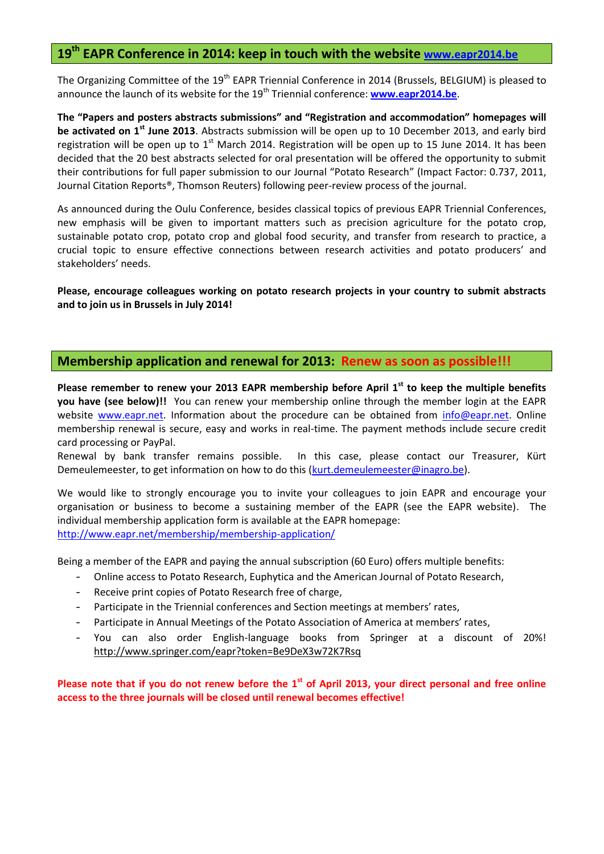# **19th EAPR Conference in 2014: keep in touch with the website [www.eapr2014.be](http://www.eapr2014.be/)**

The Organizing Committee of the 19<sup>th</sup> EAPR Triennial Conference in 2014 (Brussels, BELGIUM) is pleased to announce the launch of its website for the 19<sup>th</sup> Triennial conference: **[www.eapr2014.be](http://www.eapr2014.be/)**.

**The "Papers and posters abstracts submissions" and "Registration and accommodation" homepages will be activated on 1st June 2013**. Abstracts submission will be open up to 10 December 2013, and early bird registration will be open up to  $1<sup>st</sup>$  March 2014. Registration will be open up to 15 June 2014. It has been decided that the 20 best abstracts selected for oral presentation will be offered the opportunity to submit their contributions for full paper submission to our Journal "Potato Research" (Impact Factor: 0.737, 2011, Journal Citation Reports®, Thomson Reuters) following peer-review process of the journal.

As announced during the Oulu Conference, besides classical topics of previous EAPR Triennial Conferences, new emphasis will be given to important matters such as precision agriculture for the potato crop, sustainable potato crop, potato crop and global food security, and transfer from research to practice, a crucial topic to ensure effective connections between research activities and potato producers' and stakeholders' needs.

**Please, encourage colleagues working on potato research projects in your country to submit abstracts and to join us in Brussels in July 2014!**

### **Membership application and renewal for 2013: Renew as soon as possible!!!**

**Please remember to renew your 2013 EAPR membership before April 1st to keep the multiple benefits you have (see below)!!** You can renew your membership online through the member login at the EAPR website [www.eapr.net.](http://www.eapr.net/) Information about the procedure can be obtained from [info@eapr.net.](mailto:info@eapr.net) Online membership renewal is secure, easy and works in real-time. The payment methods include secure credit card processing or PayPal.

Renewal by bank transfer remains possible. In this case, please contact our Treasurer, Kürt Demeulemeester, to get information on how to do this [\(kurt.demeulemeester@inagro.be\)](mailto:kurt.demeulemeester@inagro.be).

We would like to strongly encourage you to invite your colleagues to join EAPR and encourage your organisation or business to become a sustaining member of the EAPR (see the EAPR website). The individual membership application form is available at the EAPR homepage: <http://www.eapr.net/membership/membership-application/>

Being a member of the EAPR and paying the annual subscription (60 Euro) offers multiple benefits:

- Online access to Potato Research, Euphytica and the American Journal of Potato Research,
- Receive print copies of Potato Research free of charge,
- Participate in the Triennial conferences and Section meetings at members' rates,
- Participate in Annual Meetings of the Potato Association of America at members' rates,
- You can also order English-language books from Springer at a discount of 20%! <http://www.springer.com/eapr?token=Be9DeX3w72K7Rsq>

**Please note that if you do not renew before the 1st of April 2013, your direct personal and free online access to the three journals will be closed until renewal becomes effective!**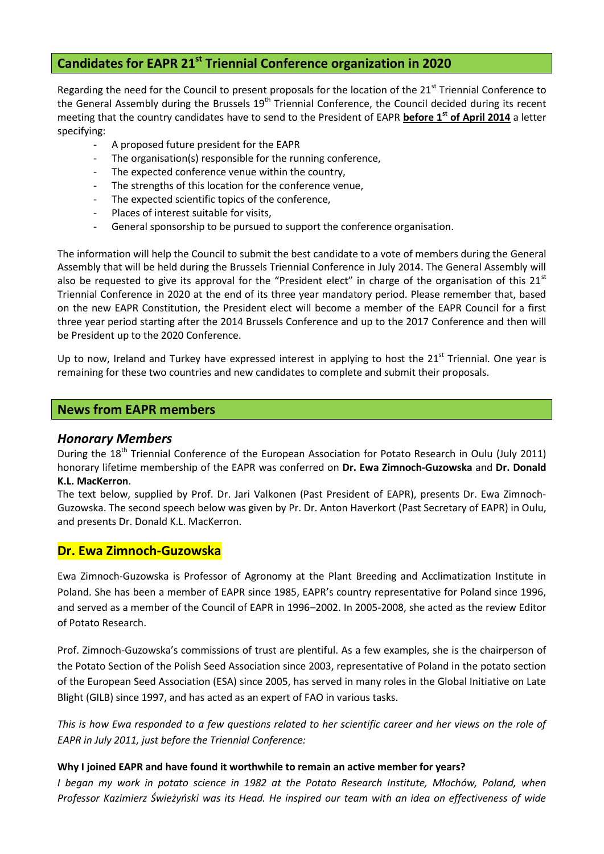# **Candidates for EAPR 21st Triennial Conference organization in 2020**

Regarding the need for the Council to present proposals for the location of the 21<sup>st</sup> Triennial Conference to the General Assembly during the Brussels 19<sup>th</sup> Triennial Conference, the Council decided during its recent meeting that the country candidates have to send to the President of EAPR **before 1st of April 2014** a letter specifying:

- A proposed future president for the EAPR
- The organisation(s) responsible for the running conference,
- The expected conference venue within the country,
- The strengths of this location for the conference venue,
- The expected scientific topics of the conference,
- Places of interest suitable for visits,
- General sponsorship to be pursued to support the conference organisation.

The information will help the Council to submit the best candidate to a vote of members during the General Assembly that will be held during the Brussels Triennial Conference in July 2014. The General Assembly will also be requested to give its approval for the "President elect" in charge of the organisation of this  $21<sup>st</sup>$ Triennial Conference in 2020 at the end of its three year mandatory period. Please remember that, based on the new EAPR Constitution, the President elect will become a member of the EAPR Council for a first three year period starting after the 2014 Brussels Conference and up to the 2017 Conference and then will be President up to the 2020 Conference.

Up to now, Ireland and Turkey have expressed interest in applying to host the  $21<sup>st</sup>$  Triennial. One year is remaining for these two countries and new candidates to complete and submit their proposals.

### **News from EAPR members**

### *Honorary Members*

During the 18<sup>th</sup> Triennial Conference of the European Association for Potato Research in Oulu (July 2011) honorary lifetime membership of the EAPR was conferred on **Dr. Ewa Zimnoch-Guzowska** and **Dr. Donald K.L. MacKerron**.

The text below, supplied by Prof. Dr. Jari Valkonen (Past President of EAPR), presents Dr. Ewa Zimnoch-Guzowska. The second speech below was given by Pr. Dr. Anton Haverkort (Past Secretary of EAPR) in Oulu, and presents Dr. Donald K.L. MacKerron.

### **Dr. Ewa Zimnoch-Guzowska**

Ewa Zimnoch-Guzowska is Professor of Agronomy at the Plant Breeding and Acclimatization Institute in Poland. She has been a member of EAPR since 1985, EAPR's country representative for Poland since 1996, and served as a member of the Council of EAPR in 1996–2002. In 2005-2008, she acted as the review Editor of Potato Research.

Prof. Zimnoch-Guzowska's commissions of trust are plentiful. As a few examples, she is the chairperson of the Potato Section of the Polish Seed Association since 2003, representative of Poland in the potato section of the European Seed Association (ESA) since 2005, has served in many roles in the Global Initiative on Late Blight (GILB) since 1997, and has acted as an expert of FAO in various tasks.

*This is how Ewa responded to a few questions related to her scientific career and her views on the role of EAPR in July 2011, just before the Triennial Conference:* 

### **Why I joined EAPR and have found it worthwhile to remain an active member for years?**

*I began my work in potato science in 1982 at the Potato Research Institute, Młochów, Poland, when Professor Kazimierz Świeżyński was its Head. He inspired our team with an idea on effectiveness of wide*